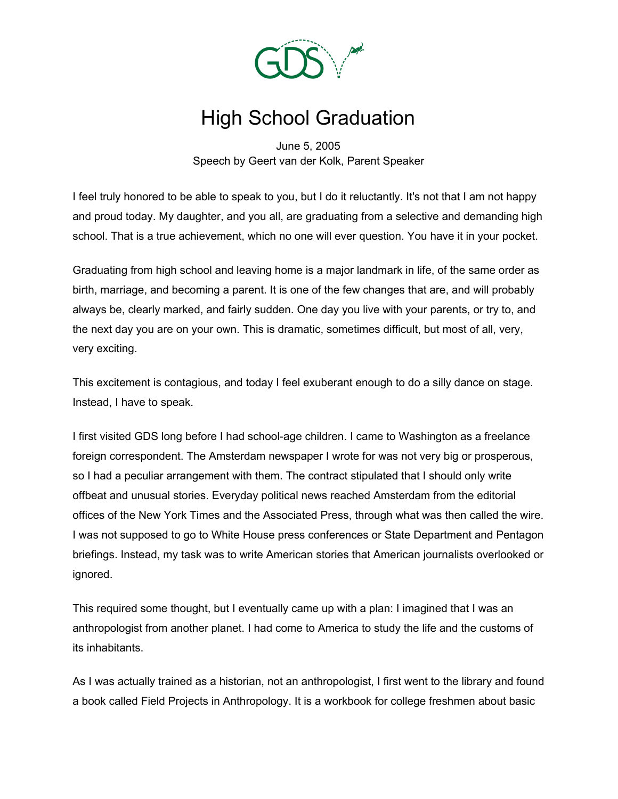

## High School Graduation

June 5, 2005 Speech by Geert van der Kolk, Parent Speaker

I feel truly honored to be able to speak to you, but I do it reluctantly. It's not that I am not happy and proud today. My daughter, and you all, are graduating from a selective and demanding high school. That is a true achievement, which no one will ever question. You have it in your pocket.

Graduating from high school and leaving home is a major landmark in life, of the same order as birth, marriage, and becoming a parent. It is one of the few changes that are, and will probably always be, clearly marked, and fairly sudden. One day you live with your parents, or try to, and the next day you are on your own. This is dramatic, sometimes difficult, but most of all, very, very exciting.

This excitement is contagious, and today I feel exuberant enough to do a silly dance on stage. Instead, I have to speak.

I first visited GDS long before I had school-age children. I came to Washington as a freelance foreign correspondent. The Amsterdam newspaper I wrote for was not very big or prosperous, so I had a peculiar arrangement with them. The contract stipulated that I should only write offbeat and unusual stories. Everyday political news reached Amsterdam from the editorial offices of the New York Times and the Associated Press, through what was then called the wire. I was not supposed to go to White House press conferences or State Department and Pentagon briefings. Instead, my task was to write American stories that American journalists overlooked or ignored.

This required some thought, but I eventually came up with a plan: I imagined that I was an anthropologist from another planet. I had come to America to study the life and the customs of its inhabitants.

As I was actually trained as a historian, not an anthropologist, I first went to the library and found a book called Field Projects in Anthropology. It is a workbook for college freshmen about basic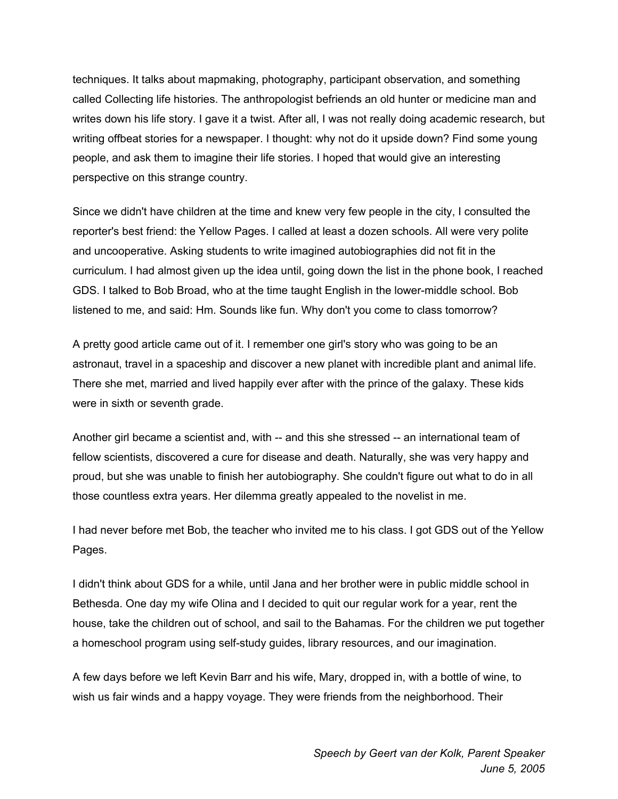techniques. It talks about mapmaking, photography, participant observation, and something called Collecting life histories. The anthropologist befriends an old hunter or medicine man and writes down his life story. I gave it a twist. After all, I was not really doing academic research, but writing offbeat stories for a newspaper. I thought: why not do it upside down? Find some young people, and ask them to imagine their life stories. I hoped that would give an interesting perspective on this strange country.

Since we didn't have children at the time and knew very few people in the city, I consulted the reporter's best friend: the Yellow Pages. I called at least a dozen schools. All were very polite and uncooperative. Asking students to write imagined autobiographies did not fit in the curriculum. I had almost given up the idea until, going down the list in the phone book, I reached GDS. I talked to Bob Broad, who at the time taught English in the lower-middle school. Bob listened to me, and said: Hm. Sounds like fun. Why don't you come to class tomorrow?

A pretty good article came out of it. I remember one girl's story who was going to be an astronaut, travel in a spaceship and discover a new planet with incredible plant and animal life. There she met, married and lived happily ever after with the prince of the galaxy. These kids were in sixth or seventh grade.

Another girl became a scientist and, with -- and this she stressed -- an international team of fellow scientists, discovered a cure for disease and death. Naturally, she was very happy and proud, but she was unable to finish her autobiography. She couldn't figure out what to do in all those countless extra years. Her dilemma greatly appealed to the novelist in me.

I had never before met Bob, the teacher who invited me to his class. I got GDS out of the Yellow Pages.

I didn't think about GDS for a while, until Jana and her brother were in public middle school in Bethesda. One day my wife Olina and I decided to quit our regular work for a year, rent the house, take the children out of school, and sail to the Bahamas. For the children we put together a homeschool program using self-study guides, library resources, and our imagination.

A few days before we left Kevin Barr and his wife, Mary, dropped in, with a bottle of wine, to wish us fair winds and a happy voyage. They were friends from the neighborhood. Their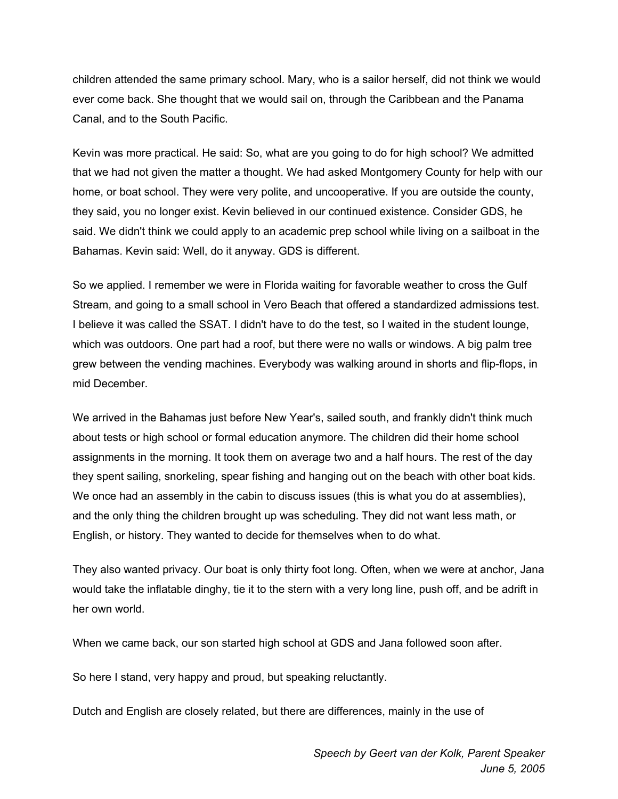children attended the same primary school. Mary, who is a sailor herself, did not think we would ever come back. She thought that we would sail on, through the Caribbean and the Panama Canal, and to the South Pacific.

Kevin was more practical. He said: So, what are you going to do for high school? We admitted that we had not given the matter a thought. We had asked Montgomery County for help with our home, or boat school. They were very polite, and uncooperative. If you are outside the county, they said, you no longer exist. Kevin believed in our continued existence. Consider GDS, he said. We didn't think we could apply to an academic prep school while living on a sailboat in the Bahamas. Kevin said: Well, do it anyway. GDS is different.

So we applied. I remember we were in Florida waiting for favorable weather to cross the Gulf Stream, and going to a small school in Vero Beach that offered a standardized admissions test. I believe it was called the SSAT. I didn't have to do the test, so I waited in the student lounge, which was outdoors. One part had a roof, but there were no walls or windows. A big palm tree grew between the vending machines. Everybody was walking around in shorts and flip-flops, in mid December.

We arrived in the Bahamas just before New Year's, sailed south, and frankly didn't think much about tests or high school or formal education anymore. The children did their home school assignments in the morning. It took them on average two and a half hours. The rest of the day they spent sailing, snorkeling, spear fishing and hanging out on the beach with other boat kids. We once had an assembly in the cabin to discuss issues (this is what you do at assemblies), and the only thing the children brought up was scheduling. They did not want less math, or English, or history. They wanted to decide for themselves when to do what.

They also wanted privacy. Our boat is only thirty foot long. Often, when we were at anchor, Jana would take the inflatable dinghy, tie it to the stern with a very long line, push off, and be adrift in her own world.

When we came back, our son started high school at GDS and Jana followed soon after.

So here I stand, very happy and proud, but speaking reluctantly.

Dutch and English are closely related, but there are differences, mainly in the use of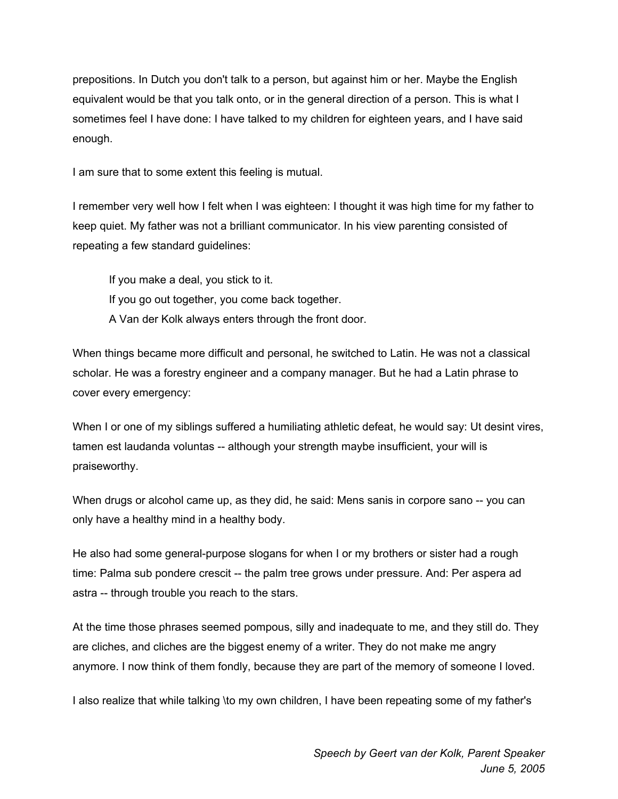prepositions. In Dutch you don't talk to a person, but against him or her. Maybe the English equivalent would be that you talk onto, or in the general direction of a person. This is what I sometimes feel I have done: I have talked to my children for eighteen years, and I have said enough.

I am sure that to some extent this feeling is mutual.

I remember very well how I felt when I was eighteen: I thought it was high time for my father to keep quiet. My father was not a brilliant communicator. In his view parenting consisted of repeating a few standard guidelines:

If you make a deal, you stick to it. If you go out together, you come back together. A Van der Kolk always enters through the front door.

When things became more difficult and personal, he switched to Latin. He was not a classical scholar. He was a forestry engineer and a company manager. But he had a Latin phrase to cover every emergency:

When I or one of my siblings suffered a humiliating athletic defeat, he would say: Ut desint vires, tamen est laudanda voluntas -- although your strength maybe insufficient, your will is praiseworthy.

When drugs or alcohol came up, as they did, he said: Mens sanis in corpore sano -- you can only have a healthy mind in a healthy body.

He also had some general-purpose slogans for when I or my brothers or sister had a rough time: Palma sub pondere crescit -- the palm tree grows under pressure. And: Per aspera ad astra -- through trouble you reach to the stars.

At the time those phrases seemed pompous, silly and inadequate to me, and they still do. They are cliches, and cliches are the biggest enemy of a writer. They do not make me angry anymore. I now think of them fondly, because they are part of the memory of someone I loved.

I also realize that while talking \to my own children, I have been repeating some of my father's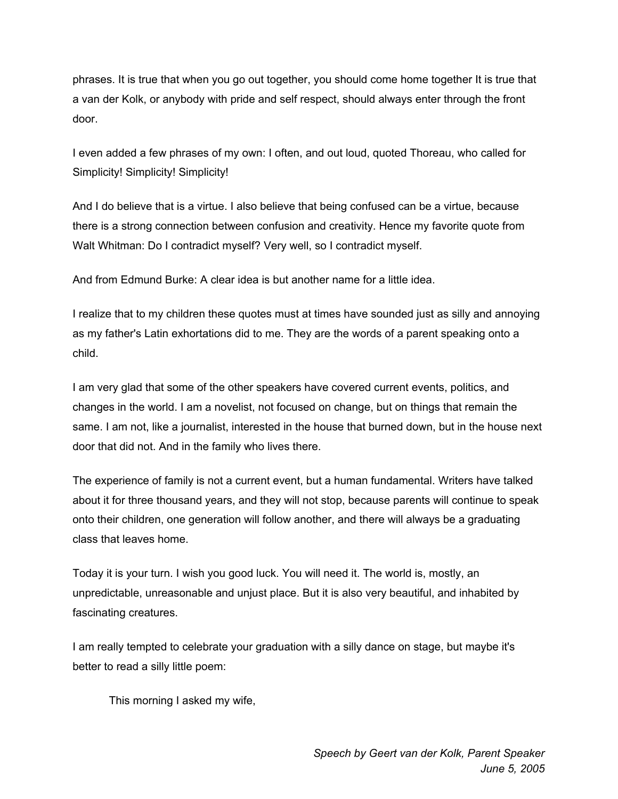phrases. It is true that when you go out together, you should come home together It is true that a van der Kolk, or anybody with pride and self respect, should always enter through the front door.

I even added a few phrases of my own: I often, and out loud, quoted Thoreau, who called for Simplicity! Simplicity! Simplicity!

And I do believe that is a virtue. I also believe that being confused can be a virtue, because there is a strong connection between confusion and creativity. Hence my favorite quote from Walt Whitman: Do I contradict myself? Very well, so I contradict myself.

And from Edmund Burke: A clear idea is but another name for a little idea.

I realize that to my children these quotes must at times have sounded just as silly and annoying as my father's Latin exhortations did to me. They are the words of a parent speaking onto a child.

I am very glad that some of the other speakers have covered current events, politics, and changes in the world. I am a novelist, not focused on change, but on things that remain the same. I am not, like a journalist, interested in the house that burned down, but in the house next door that did not. And in the family who lives there.

The experience of family is not a current event, but a human fundamental. Writers have talked about it for three thousand years, and they will not stop, because parents will continue to speak onto their children, one generation will follow another, and there will always be a graduating class that leaves home.

Today it is your turn. I wish you good luck. You will need it. The world is, mostly, an unpredictable, unreasonable and unjust place. But it is also very beautiful, and inhabited by fascinating creatures.

I am really tempted to celebrate your graduation with a silly dance on stage, but maybe it's better to read a silly little poem:

This morning I asked my wife,